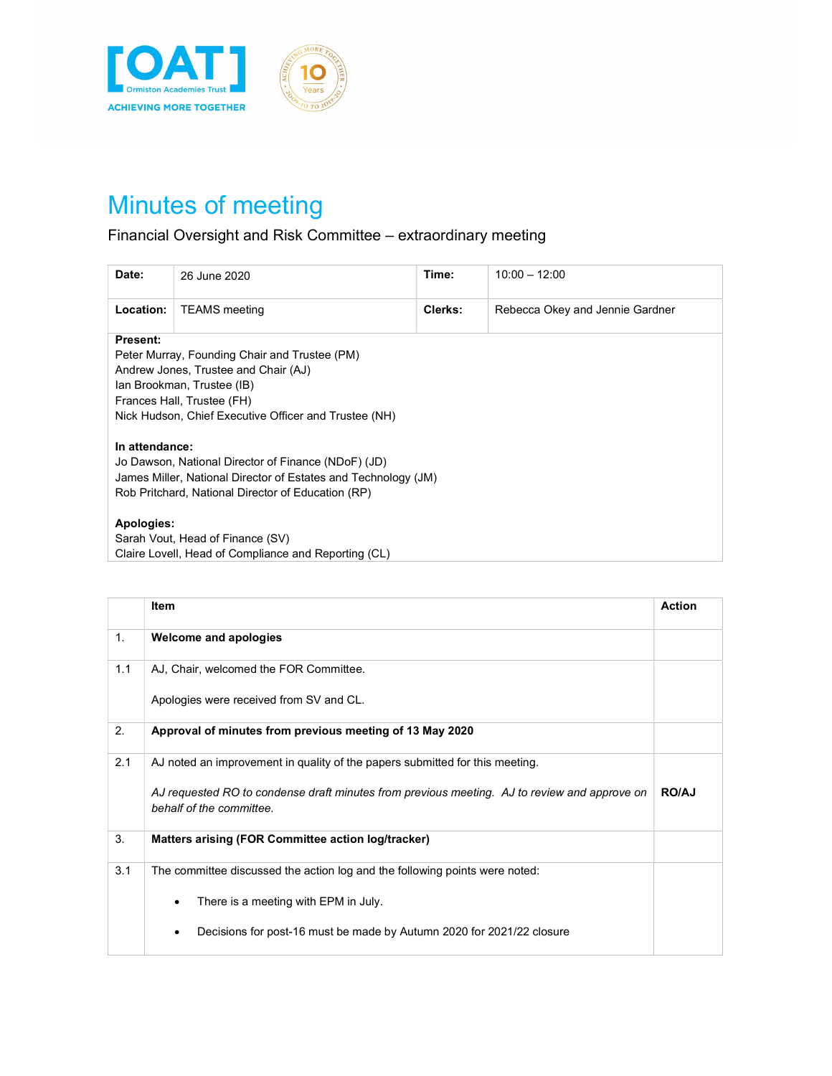

## Minutes of meeting

## Financial Oversight and Risk Committee – extraordinary meeting

| Date:                                                                                                                                                                                                                  | 26 June 2020         | Time:   | $10:00 - 12:00$                 |  |
|------------------------------------------------------------------------------------------------------------------------------------------------------------------------------------------------------------------------|----------------------|---------|---------------------------------|--|
| Location:                                                                                                                                                                                                              | <b>TEAMS</b> meeting | Clerks: | Rebecca Okey and Jennie Gardner |  |
| Present:<br>Peter Murray, Founding Chair and Trustee (PM)<br>Andrew Jones, Trustee and Chair (AJ)<br>Ian Brookman, Trustee (IB)<br>Frances Hall, Trustee (FH)<br>Nick Hudson, Chief Executive Officer and Trustee (NH) |                      |         |                                 |  |
| In attendance:<br>Jo Dawson, National Director of Finance (NDoF) (JD)<br>James Miller, National Director of Estates and Technology (JM)<br>Rob Pritchard, National Director of Education (RP)                          |                      |         |                                 |  |
| Apologies:<br>Sarah Vout, Head of Finance (SV)<br>Claire Lovell, Head of Compliance and Reporting (CL)                                                                                                                 |                      |         |                                 |  |

|     | <b>Item</b>                                                                                                              | <b>Action</b> |
|-----|--------------------------------------------------------------------------------------------------------------------------|---------------|
| 1.  | <b>Welcome and apologies</b>                                                                                             |               |
| 1.1 | AJ, Chair, welcomed the FOR Committee.                                                                                   |               |
|     | Apologies were received from SV and CL.                                                                                  |               |
| 2.  | Approval of minutes from previous meeting of 13 May 2020                                                                 |               |
| 2.1 | AJ noted an improvement in quality of the papers submitted for this meeting.                                             |               |
|     | AJ requested RO to condense draft minutes from previous meeting. AJ to review and approve on<br>behalf of the committee. | <b>RO/AJ</b>  |
| 3.  | Matters arising (FOR Committee action log/tracker)                                                                       |               |
| 3.1 | The committee discussed the action log and the following points were noted:                                              |               |
|     | There is a meeting with EPM in July.<br>٠                                                                                |               |
|     | Decisions for post-16 must be made by Autumn 2020 for 2021/22 closure<br>٠                                               |               |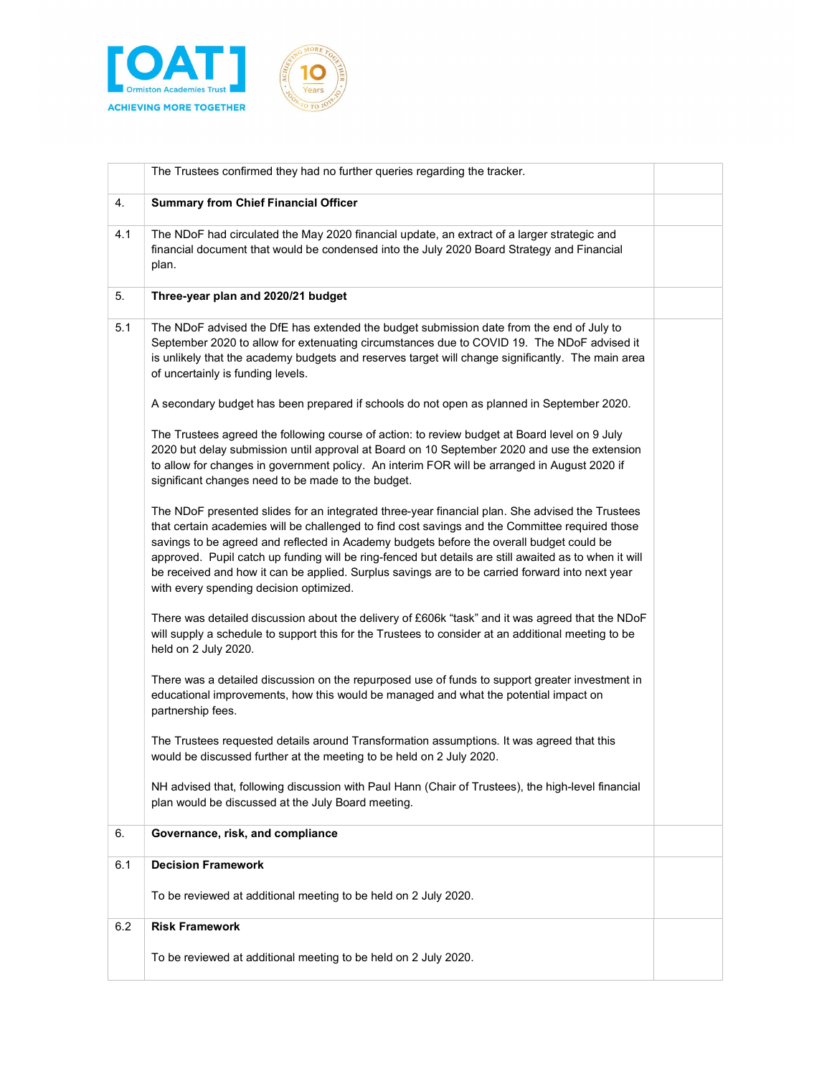

|     | The Trustees confirmed they had no further queries regarding the tracker.                                                                                                                                                                                                                                                                                                                                                                                                                                                                             |  |
|-----|-------------------------------------------------------------------------------------------------------------------------------------------------------------------------------------------------------------------------------------------------------------------------------------------------------------------------------------------------------------------------------------------------------------------------------------------------------------------------------------------------------------------------------------------------------|--|
| 4.  | <b>Summary from Chief Financial Officer</b>                                                                                                                                                                                                                                                                                                                                                                                                                                                                                                           |  |
| 4.1 | The NDoF had circulated the May 2020 financial update, an extract of a larger strategic and<br>financial document that would be condensed into the July 2020 Board Strategy and Financial<br>plan.                                                                                                                                                                                                                                                                                                                                                    |  |
| 5.  | Three-year plan and 2020/21 budget                                                                                                                                                                                                                                                                                                                                                                                                                                                                                                                    |  |
| 5.1 | The NDoF advised the DfE has extended the budget submission date from the end of July to<br>September 2020 to allow for extenuating circumstances due to COVID 19. The NDoF advised it<br>is unlikely that the academy budgets and reserves target will change significantly. The main area<br>of uncertainly is funding levels.                                                                                                                                                                                                                      |  |
|     | A secondary budget has been prepared if schools do not open as planned in September 2020.                                                                                                                                                                                                                                                                                                                                                                                                                                                             |  |
|     | The Trustees agreed the following course of action: to review budget at Board level on 9 July<br>2020 but delay submission until approval at Board on 10 September 2020 and use the extension<br>to allow for changes in government policy. An interim FOR will be arranged in August 2020 if<br>significant changes need to be made to the budget.                                                                                                                                                                                                   |  |
|     | The NDoF presented slides for an integrated three-year financial plan. She advised the Trustees<br>that certain academies will be challenged to find cost savings and the Committee required those<br>savings to be agreed and reflected in Academy budgets before the overall budget could be<br>approved. Pupil catch up funding will be ring-fenced but details are still awaited as to when it will<br>be received and how it can be applied. Surplus savings are to be carried forward into next year<br>with every spending decision optimized. |  |
|     | There was detailed discussion about the delivery of £606k "task" and it was agreed that the NDoF<br>will supply a schedule to support this for the Trustees to consider at an additional meeting to be<br>held on 2 July 2020.                                                                                                                                                                                                                                                                                                                        |  |
|     | There was a detailed discussion on the repurposed use of funds to support greater investment in<br>educational improvements, how this would be managed and what the potential impact on<br>partnership fees.                                                                                                                                                                                                                                                                                                                                          |  |
|     | The Trustees requested details around Transformation assumptions. It was agreed that this<br>would be discussed further at the meeting to be held on 2 July 2020.                                                                                                                                                                                                                                                                                                                                                                                     |  |
|     | NH advised that, following discussion with Paul Hann (Chair of Trustees), the high-level financial<br>plan would be discussed at the July Board meeting.                                                                                                                                                                                                                                                                                                                                                                                              |  |
| 6.  | Governance, risk, and compliance                                                                                                                                                                                                                                                                                                                                                                                                                                                                                                                      |  |
| 6.1 | <b>Decision Framework</b>                                                                                                                                                                                                                                                                                                                                                                                                                                                                                                                             |  |
|     | To be reviewed at additional meeting to be held on 2 July 2020.                                                                                                                                                                                                                                                                                                                                                                                                                                                                                       |  |
| 6.2 | <b>Risk Framework</b>                                                                                                                                                                                                                                                                                                                                                                                                                                                                                                                                 |  |
|     | To be reviewed at additional meeting to be held on 2 July 2020.                                                                                                                                                                                                                                                                                                                                                                                                                                                                                       |  |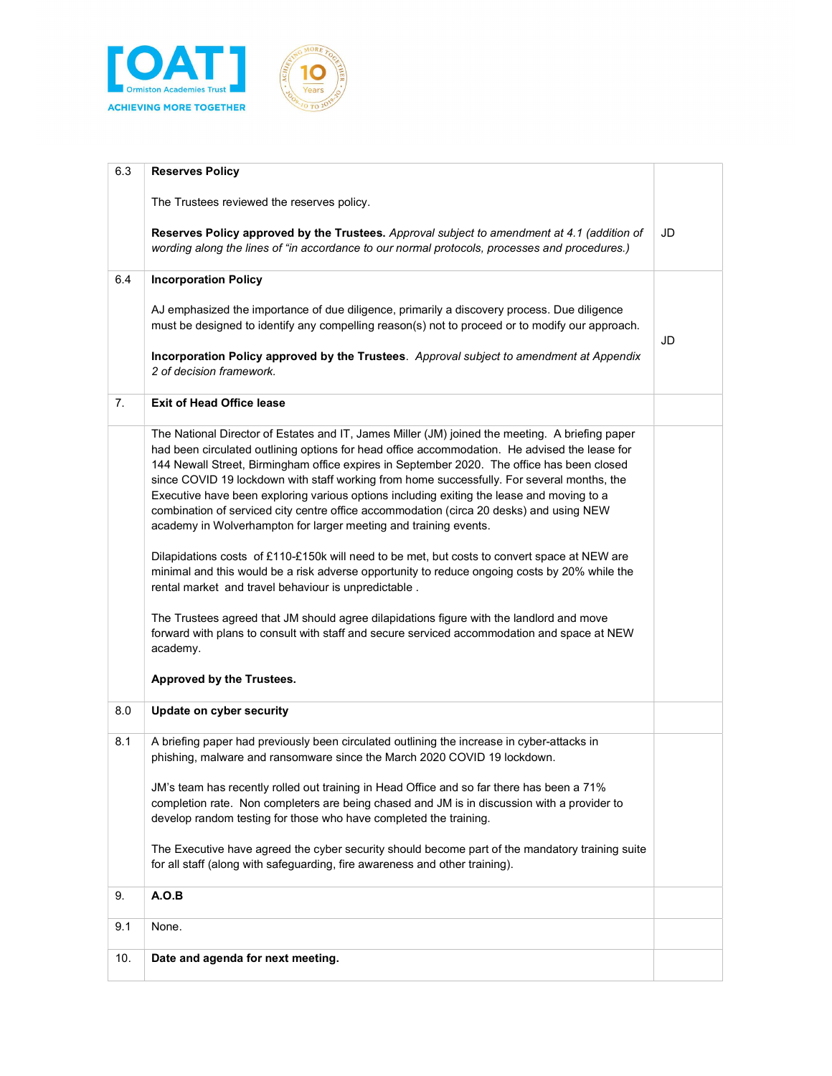



| 6.3 | <b>Reserves Policy</b>                                                                                                                                                                                                                                                                                                                                                                                                                                                                                                                                                                                                                                                                                                                                   |    |
|-----|----------------------------------------------------------------------------------------------------------------------------------------------------------------------------------------------------------------------------------------------------------------------------------------------------------------------------------------------------------------------------------------------------------------------------------------------------------------------------------------------------------------------------------------------------------------------------------------------------------------------------------------------------------------------------------------------------------------------------------------------------------|----|
|     | The Trustees reviewed the reserves policy.                                                                                                                                                                                                                                                                                                                                                                                                                                                                                                                                                                                                                                                                                                               |    |
|     | Reserves Policy approved by the Trustees. Approval subject to amendment at 4.1 (addition of<br>wording along the lines of "in accordance to our normal protocols, processes and procedures.)                                                                                                                                                                                                                                                                                                                                                                                                                                                                                                                                                             | JD |
| 6.4 | <b>Incorporation Policy</b>                                                                                                                                                                                                                                                                                                                                                                                                                                                                                                                                                                                                                                                                                                                              |    |
|     | AJ emphasized the importance of due diligence, primarily a discovery process. Due diligence<br>must be designed to identify any compelling reason(s) not to proceed or to modify our approach.<br>Incorporation Policy approved by the Trustees. Approval subject to amendment at Appendix                                                                                                                                                                                                                                                                                                                                                                                                                                                               | JD |
|     | 2 of decision framework.                                                                                                                                                                                                                                                                                                                                                                                                                                                                                                                                                                                                                                                                                                                                 |    |
| 7.  | <b>Exit of Head Office lease</b>                                                                                                                                                                                                                                                                                                                                                                                                                                                                                                                                                                                                                                                                                                                         |    |
|     | The National Director of Estates and IT, James Miller (JM) joined the meeting. A briefing paper<br>had been circulated outlining options for head office accommodation. He advised the lease for<br>144 Newall Street, Birmingham office expires in September 2020. The office has been closed<br>since COVID 19 lockdown with staff working from home successfully. For several months, the<br>Executive have been exploring various options including exiting the lease and moving to a<br>combination of serviced city centre office accommodation (circa 20 desks) and using NEW<br>academy in Wolverhampton for larger meeting and training events.<br>Dilapidations costs of £110-£150k will need to be met, but costs to convert space at NEW are |    |
|     | minimal and this would be a risk adverse opportunity to reduce ongoing costs by 20% while the<br>rental market and travel behaviour is unpredictable.                                                                                                                                                                                                                                                                                                                                                                                                                                                                                                                                                                                                    |    |
|     | The Trustees agreed that JM should agree dilapidations figure with the landlord and move<br>forward with plans to consult with staff and secure serviced accommodation and space at NEW<br>academy.                                                                                                                                                                                                                                                                                                                                                                                                                                                                                                                                                      |    |
|     | Approved by the Trustees.                                                                                                                                                                                                                                                                                                                                                                                                                                                                                                                                                                                                                                                                                                                                |    |
| 8.0 | Update on cyber security                                                                                                                                                                                                                                                                                                                                                                                                                                                                                                                                                                                                                                                                                                                                 |    |
| 8.1 | A briefing paper had previously been circulated outlining the increase in cyber-attacks in<br>phishing, malware and ransomware since the March 2020 COVID 19 lockdown.                                                                                                                                                                                                                                                                                                                                                                                                                                                                                                                                                                                   |    |
|     | JM's team has recently rolled out training in Head Office and so far there has been a 71%<br>completion rate. Non completers are being chased and JM is in discussion with a provider to<br>develop random testing for those who have completed the training.                                                                                                                                                                                                                                                                                                                                                                                                                                                                                            |    |
|     | The Executive have agreed the cyber security should become part of the mandatory training suite<br>for all staff (along with safeguarding, fire awareness and other training).                                                                                                                                                                                                                                                                                                                                                                                                                                                                                                                                                                           |    |
| 9.  | A.O.B                                                                                                                                                                                                                                                                                                                                                                                                                                                                                                                                                                                                                                                                                                                                                    |    |
| 9.1 | None.                                                                                                                                                                                                                                                                                                                                                                                                                                                                                                                                                                                                                                                                                                                                                    |    |
| 10. | Date and agenda for next meeting.                                                                                                                                                                                                                                                                                                                                                                                                                                                                                                                                                                                                                                                                                                                        |    |